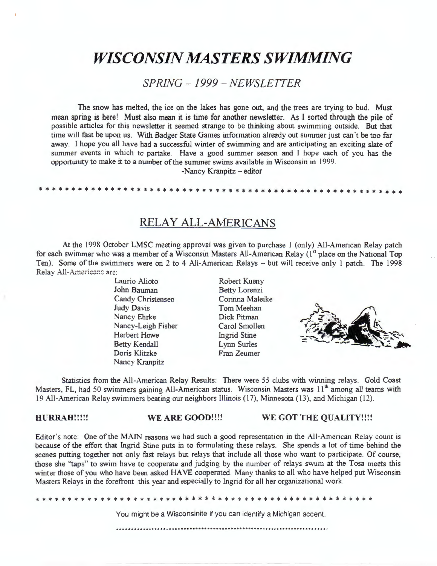# *WISCONSIN MASTERS SWIMMING*

*SPRING - 1999 - NEWSLETTER* 

The snow has melted, the ice on the lakes has gone out, and the trees are trying to bud. Must mean spring is here! Must also mean it is time for another newsletter. As l sorted through the pile of possible articles for this newsletter it seemed strange to be thinking about swimming outside. But that time will fast be upon us. With Badger State Games information already out summer just can't be too far away. I hope you all have had a successful winter of swimming and are anticipating an exciting slate of summer events in which to partake. Have a good summer season and I hope each of you has the opportunity to make it to a number of the summer swims available in Wisconsin in 1999.

-Nancy Kranpitz - editor

\* \* \* \* \* \* \* \* \* \* \* \* \* \* \* \* \* \* \* \* \* \* \* \* \* \* \* \* \* \* \* \* \* \* \* \* \* \* \* \* \* \* \* \* \* \* \* \* \* \* \* \* \* \* \* \*

RELAY ALL-AMERICANS

At the 1998 October **LMSC** meeting approval was given to purchase l (only) All-American Relay patch for each swimmer who was a member of a Wisconsin Masters All-American Relay (1<sup>st</sup> place on the National Top Ten). Some of the swimmers were on 2 to 4 All-American Relays - but will receive only l patch. The 1998 Relay All-Americans are:

> Laurio Alioto John Bauman Candy Christensen Judy Davis Nancy Ehrke Nancy-Leigh Fisher Herbert Howe Betty Kendall Doris Klitzke Nancy Kranpitz

Robert Kueny Betty Lorenzi Corinna Maleike Tom Meehan Dick Pitman Carol Smollen Ingrid Stine Lynn Surles Fran Zeumer



Statistics from the All-American Relay Results: There were 55 clubs with winning relays. Gold Coast Masters, FL, had 50 swimmers gaining All-American status. Wisconsin Masters was 11<sup>th</sup> among all teams with 19 All-American Relay swimmers beating our neighbors Illinois ( 17), Minnesota ( 13), and Michigan (12).

#### **HURRAH!!!!! WE ARE GOOD!!!! WE GOT THE QUALITY!!!!**

Editor's note: One of the MAIN reasons we had such a good representation in the All-American Relay count is because of the effort that Ingrid Stine puts in to formulating these relays. She spends a lot of time behind the scenes putting together not only fast relays but relays that include all those who want to participate. Of course, those she "taps" to swim have to cooperate and judging by the number of relays swum at the Tosa meets this winter those of you who have been asked HAVE cooperated. Many thanks to all who have helped put Wisconsin Masters Relays in the forefront this year and especially to Ingrid for all her organizational work.

You might be a Wisconsinite if you can identify a Michigan accent.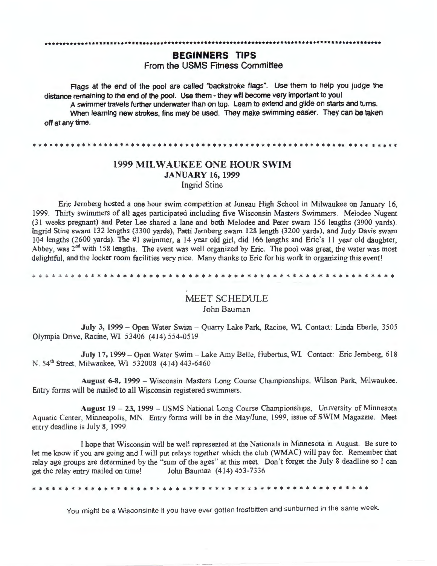#### **BEGINNERS TIPS**

From the USMS Fitness Committee

Flags at the end of the pool are called "backstroke flags". Use them to help you judge the distance remaining to the end of the pool. Use them - they will become very important to you! A swimmer travels further underwater than on top. Learn to extend and glide on starts and turns. When learning new strokes, fins may be used. They make swimming easier. They can be taken off at any time.

\* \* \* \* \* \* \* \* \* \* \* \* \* \* \* \* \* \* \* \* \* \* \* \* \* \* \* \* \* \* \* \* \* \* \* \* \* \* \* \* \* \* \* \* \* \* \* \* \* \* \* \* \* \* \* \* \*\* \* \* \* \* \* \* \* \* \*

#### 1999 **MILWAUKEE ONE HOUR SWIM JANUARY 16, 1999**  Ingrid Stine

Eric Jernberg hosted a one hour swim competition at Juneau High School in Milwaukee on January 16, 1999. Thirty swimmers of all ages participated including five Wisconsin Masters Swimmers. Melodee Nugent (31 weeks pregnant) and Peter Lee shared a lane and both Melodee and Peter swam 156 lengths (3900 yards). Ingrid Stine swam 132 lengths (3300 yards), Patti Jernberg swam 128 length (3200 yards), and Judy Davis swam 104 lengths (2600 yards). The #1 swimmer, a 14 year old girl, did 166 lengths and Eric's 11 year old daughter, Abbey, was  $2<sup>nd</sup>$  with 158 lengths. The event was well organized by Eric. The pool was great, the water was most delightful, and the locker room facilities very nice. Many thanks to Eric for his work in organizing this event!

\* \* \* \* \* \* \* \* \* \* \* \* \* \* \* \* \* \* \* \* \* \* \* \* \* \* \* \* \* \* \* \* \* \* \* \* \* \* \* \* \* \* \* \* \* \* \* \* \* \* \* \* \* \* \* \*

#### MEET SCHEDULE John Bauman

July 3, 1999 - Open Water Swim - Quarry Lake Park, Racine, WI. Contact: Linda Eberle, 3505 Olympia Drive, Racine, WI 53406 (414) 554-0519

July 17, 1999- Open Water Swim - Lake Amy Belle, Hubertus, WI. Contact: Eric Jernberg, 618 N. 54<sup>th</sup> Street, Milwaukee, WI 532008 (414) 443-6460

August 6-8, 1999 - Wisconsin Masters Long Course Championships, Wilson Park, Milwaukee. Entry forms will be mailed to all Wisconsin registered swimmers.

**August** 19 - 23, 1999 - USMS National Long Course Championships, University of Minnesota Aquatic Center, Minneapolis, MN. Entry forms will be in the May/June, 1999, issue of SWIM Magazine. Meet entry deadline is July 8, 1999.

I hope that Wisconsin will be well represented at the Nationals in Minnesota in August. Be sure to let me know if you are going and I will put relays together which the club (WMAC) will pay for. Remember that relay age groups are determined by the "sum of the ages" at this meet. Don't forget the July 8 deadline so I can get the relay entry mailed on time! John Bauman (414) 453-7336

\* \* \* \* \* \* \* \* \* \* \* \* \* \* \* \* \* \* \* \* \* \* \* \* \* \* \* \* \* \* \* \* \* \* \* \* \* \* \* \* \* \* \* \* \* \* \* \* \* \* \* \*

You might be a Wisconsinite if you have ever gotten frostbitten and sunburned in the same week.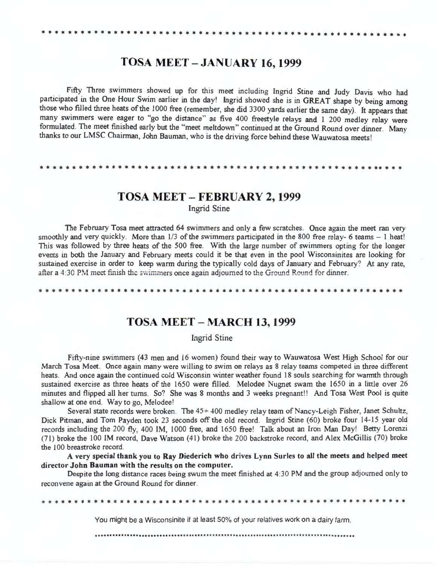## **TOSA MEET** - **JANUARY 16, 1999**

Fifty Three swimmers showed up for this meet including Ingrid Stine and Judy Davis who had participated in the One Hour Swim earlier in the day! Ingrid showed she is in GREAT shape by being among those who filled three heats of the 1000 free (remember, she did 3300 yards earlier the same day). It appears that many swimmers were eager to "go the distance" as five 400 freestyle relays and 1 200 medley relay were formulated. The meet finished early but the "meet meltdown" continued at the Ground Round over dinner. Many thanks to our LMSC Chairman, John Bauman, who is the driving force behind these Wauwatosa meets!

\* \* \* \* \* \* \* \* \* \* \* \* \* \* \* \* \* \* \* \* \* \* \* \* \* \* \* \* \* \* \* \* \* \* \* \* \* \* \* \* \* \* \* \* \* \* \* \* \* \* \* \*\* \* \* \*

## **TOSA MEET** - **FEBRUARY 2, 1999**

Ingrid Stine

The February Tosa meet attracted 64 swimmers and only a few scratches. Once again the meet ran very smoothly and very quickly. More than  $1/3$  of the swimmers participated in the 800 free relay- 6 teams  $-1$  heat! This was followed by three heats of the 500 free. With the large number of swimmers opting for the longer events in both the January and February meets could it be that even in the pool Wisconsinites are looking for sustained exercise in order to keep warm during the typically cold days of January and February? At any rate, after a 4:30 PM meet finish the swimmers once again adjourned to the Ground Round for dinner.

\* \* \* \* \* \* \* \* \* \* \* \* \* \* \* \* \* \* \* \* \* \* \* \* \* \* \* \* \* \* \* \* \* \* \* \* \* \* \* \* \* \* \* \* \* \* \* \* \* \* \* \* \* \* \* \*

## **TOSA MEET** - **MARCH 13, 1999**

#### Ingrid Stine

Fifty-nine swimmers (43 men and 16 women) found their way to Wauwatosa West High School for our March Tosa **Meet.** Once again many were willing to swim on relays as 8 relay teams competed in three different heats. And once again the continued cold Wisconsin winter weather found 18 souls searching for warmth through sustained exercise as three heats of the 1650 were filled. Melodee Nugnet swam the 1650 in a little over 26 minutes and flipped all her turns. So? She was 8 months and 3 weeks pregnant!! And Tosa West Pool is quite shallow at one end. Way to go, Melodee'

Several state records were broken. The 45+ 400 medley relay team of Nancy-Leigh Fisher, Janet Schultz, Dick Pitman, and Tom Payden took 23 seconds off the old record. Ingrid Stine (60) broke four 14-15 year old records including the 200 fly, 400 **IM,** 1000 free, and 1650 freel Talk about an Iron Man Day1 Betty Lorenzi (71) broke the 100 IM record, Dave Watson (41) broke the 200 backstroke record, and Alex McGillis (70) broke the l 00 breastroke record.

**A very special thank you to Ray Diederich who drives Lynn Surles to all the meets and helped meet director John Bauman with the results on the computer.** 

Despite the long distance races being swum the meet finished at 4:30 **PM** and the group adjourned only to reconvene again at the Ground Round for dinner.

\* \* \* \* \* \* \* \* \* \* \* \* \* \* \* \* \* \* \* \* \* \* \* \* \* \* \* \* \* \* \* \* \* \* \* \* \* \* \* \* \* \* \* \* \* \* \* \* \* \* \* \* \* \* \* \*

You might be a Wisconsinite if at least 50% of your relatives work on a dairy farm.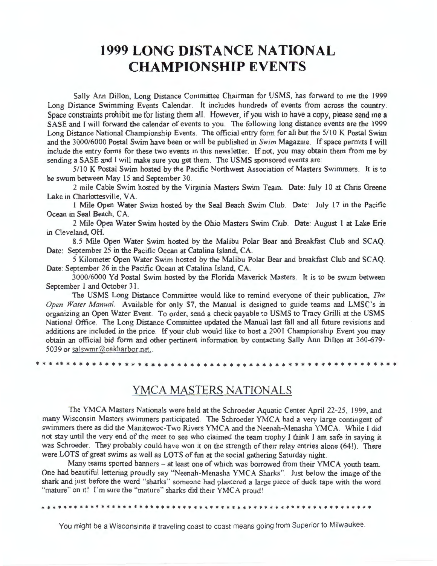# **1999 LONG DISTANCE NATIONAL CHAMPIONSHIP EVENTS**

Sally Ann Dillon, Long Distance Committee Chairman for USMS, has forward to me the 1999 Long Distance Swimming Events Calendar. It includes hundreds of events from across the country. Space constraints prohibit me for listing them all. However, if you wish to have a copy, please send me a SASE and I will forward the calendar of events to you. The following long distance events are the 1999 Long Distance National Championship Events. The official entry form for all but the 5/10 K Postal Swim and the 3000/6000 Postal Swim have been or will be published in *Swim* Magazine. If space permits I will include the entry forms for these two events in this newsletter. If not, you may obtain them from me by sending a SASE and I will make sure you get them. The USMS sponsored events are:

5/10 K Postal Swim hosted by the Pacific Northwest Association of Masters Swimmers. It is to be swum between May 15 and September 30.

2 mile Cable Swim hosted by the Virginia Masters Swim Team. Date: July l O at Chris Greene Lake in Charlottesville, VA.

1 Mile Open Water Swim hosted by the Seal Beach Swim Club. Date: July 17 in the Pacific Ocean in Seal Beach, CA.

2 Mile Open Water Swim hosted by the Ohio Masters Swim Club. Date: August l at Lake Erie in Cleveland, OH.

8.5 Mile Open Water Swim hosted by the Malibu Polar Bear and Breakfast Club and SCAQ. Date: September 25 in the Pacific Ocean at Catalina Island, CA.

5 Kilometer Open Water Swim hosted by the Malibu Polar Bear and breakfast Club and SCAQ. Date: September 26 in the Pacific Ocean at Catalina Island, CA.

3000/6000 Yd Postal Swim hosted by the Florida Maverick Masters. It is to be swum between September 1 and October 31.

The USMS Long Distance Committee would like to remind everyone of their publication, *The Open Water Manual.* Available for only \$7, the Manual is designed to guide teams and LMSC's in organizing an Open Water Event. To order, send a check payable to USMS to Tracy Grilli at the USMS National Office. The Long Distance Committee updated the Manual last fall and all future revisions and additions are included in the price. If your club would like to host a 2001 Championship Event you may obtain an official bid form and other pertinent information by contacting Sally Ann Dillon at 360-679- 5039 or salswmr@oakharbor.net..

\* \* \* \*\* \* \* \* \* \* \* \* \* \* \* \* \* \* \* \* \* \* \* \* \* \* \* \* \* \* \* \* \* \* \* \* \* \* \* \* \* \* \* \* \* \* \* \* \* \* \* \* \* \* \* \*

## YMCA MASTERS NATIONALS

The YMCA Masters Nationals were held at the Schroeder Aquatic Center April 22-25, 1999, and many Wisconsin Masters swimmers participated. The Schroeder YMCA had a very large contingent of swimmers there as did the Manitowoc-Two Rivers YMCA and the Neenah-Menasha YMCA. While I did not stay until the very end of the meet to see who claimed the team trophy I think I am safe in saying it was Schroeder. They probably could have won it on the strength of their relay entries alone (64!). There were LOTS of great swims as well as LOTS of fun at the social gathering Saturday night.

Many teams sported banners - at least one of which was borrowed from their YMCA youth team. One had beautiful lettering proudly say "Neenah-Menasha YMCA Sharks". Just below the image of the shark and just before the word "sharks" someone had plastered a large piece of duck tape with the word "mature" on it! I'm sure the "mature" sharks did their YMCA proud!

• • • • • • • • • \* \* \* \* \* • • • • • • • \* • • • • • • • \* \* • • • • \* \* • • • • • • \* • \* \* \* \* \* • \* \* \* • \* • \* \* \* \*

You might be a Wisconsinite if traveling coast to coast means going from Superior to Milwaukee.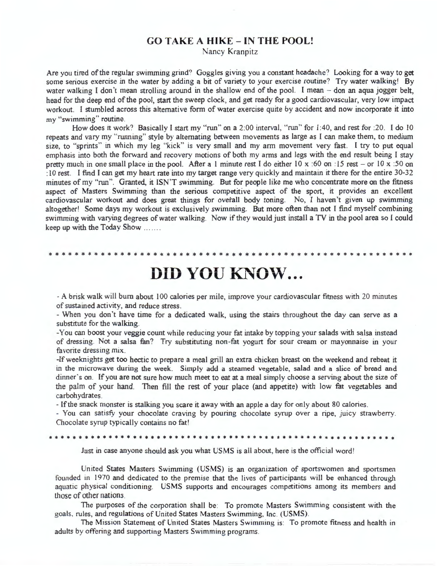#### **GO TAKE A HIKE** - **IN THE POOL!**

Nancy Kranpitz

Are you tired of the regular swimming grind? Goggles giving you a constant headache? Looking for a way to get some serious exercise in the water by adding a bit of variety to your exercise routine? Try water walking! By water walking I don't mean strolling around in the shallow end of the pool. I mean - don an aqua jogger belt, head for the deep end of the pool, start the sweep clock, and get ready for a good cardiovascular, very low impact workout. I stumbled across this alternative form of water exercise quite by accident and now incorporate it into my "swimming" routine.

How does it work? Basically I start my "run" on a 2:00 interval, "run" for 1:40, and rest for :20. I do 10 repeats and vary my "running" style by alternating between movements as large as I can make them, to medium size, to "sprints" in which my leg "kick" is very small and my arm movement very fast. I try to put equal emphasis into both the forward and recovery motions of both my arms and legs with the end result being I stay pretty much in one small place in the pool. After a 1 minute rest I do either 10 x :60 on :15 rest - or 10 x :50 on : 10 rest. I find I can get my heart rate into my target range very quickly and maintain it there for the entire 30-32 minutes of my "run". Granted, it ISN'T swimming. But for people like me who concentrate more on the fitness aspect of Masters Swimming than the serious competitive aspect of the sport, it provides an excellent cardiovascular workout and does great things for overall body toning. No, I haven't given up swimming altogether! Some days my workout is exclusively swimming. But more often than not I find myself combining swimming with varying degrees of water walking. Now if they would just install a TV in the pool area so I could keep up with the Today Show .. . ... .

# **DID YOU KNOW...**

\* \* \* \* \* \* \* \* \* \* \* \* \* \* \* \* \* \* \* \* \* \* \* \* \* \* \* \* \* \* \* \* \* \* \* \* \* \* \* \* \* \* \* \* \* \* \* \* \* \* \* \* \* \* \* \*

- A brisk walk will burn about 100 calories per mile, improve your cardiovascular fitness with 20 minutes of sustained activity, and reduce stress.

- When you don't have time for a dedicated walk, using the stairs throughout the day can serve as a substitute for the walking.

-You can boost your veggie count while reducing your fat intake by topping your salads with salsa instead of dressing. Not a salsa fan? Try substituting non-fat yogurt for sour cream or mayonnaise in your favorite dressing mix.

-If weeknights get too hectic to prepare a meal grill an extra chicken breast on the weekend and reheat it in the microwave during the week. Simply add a steamed vegetable, salad and a slice of bread and dinner's on. If you are not sure how much meet to eat at a meal simply choose a serving about the size of the palm of your hand. Then fill the rest of your place (and appetite) with low fat vegetables and carbohydrates.

- If the snack monster is stalking you scare it away with an apple a day for only about 80 calories.

- You can satisfy your chocolate craving by pouring chocolate syrup over a ripe, juicy strawberry. Chocolate syrup typically contains no fatl

\* \* \* \* \* \* \* \* \* \* \* \* \* \* \* \* \* \* \* \* \* \* \* \* \* \* \* \* \* \* \* \* \* \* \* \* \* \* \* \* \* \* \* \* \* \* \* \* \* \* \* \* \* \* \* \* \* \*

Just in case anyone should ask you what USMS is all about, here is the official wordl

United States Masters Swimming (USMS) is an organization of sportswomen and sportsmen founded in 1970 and dedicated to the premise that the lives of participants will be enhanced through aquatic physical conditioning. USMS supports and encourages competitions among its members and those of other nations.

The purposes of the corporation shall be: To promote Masters Swimming consistent with the goals, rules, and regulations of United States Masters Swimming, lnc. (USMS).

The Mission Statement of United States Masters Swimming is: To promote fitness and health in adults by offering and supporting Masters Swimming programs.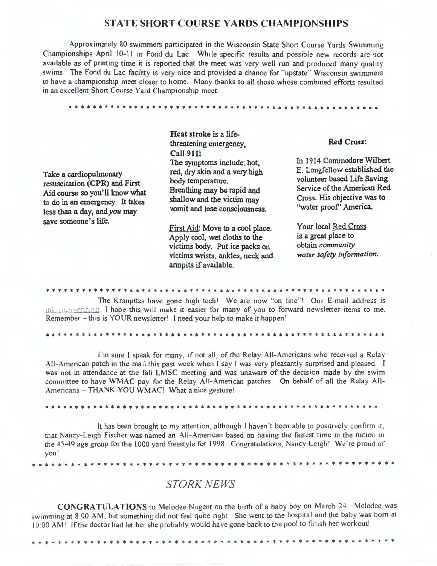### **STATE SHORT COURSE YARDS CHAMPIONSHIPS**

Approximately 80 swimmers participated in the Wisconsin State Short Course Yards Swimming Championships April 10-11 in Fond du Lac. While specific results and possible new records are not available as of printing time it is reported that the meet was very well run and produced many quality swims. The Fond du Lac facility is very nice and provided a chance for "upstate" Wisconsin swimmers to have a championship meet closer to home. Many thanks to all those whose combined efforts resulted in an excellent Short Course Yard Championship meet.

\* \* \* \* \* \* \* \* \* \* \* \* \* \* \* \* \* \* \* \* \* \* \* \* \* \* \* \* \* \* \* \* \* \* \* \* \* \* \* \* \* \* \* \* \* \* \* \* \* \* \* \*

| Take a cardiopulmonary<br>resuscitation (CPR) and First<br>Aid course so you'll know what<br>to do in an emergency. It takes<br>less than a day, and you may<br>save someone's life. | Heat stroke is a life-<br>threatening emergency,<br><b>Call 911!</b>                                                                                                          | <b>Red Cross:</b>                                                                                                                                                                 |  |
|--------------------------------------------------------------------------------------------------------------------------------------------------------------------------------------|-------------------------------------------------------------------------------------------------------------------------------------------------------------------------------|-----------------------------------------------------------------------------------------------------------------------------------------------------------------------------------|--|
|                                                                                                                                                                                      | The symptoms include: hot,<br>red, dry skin and a very high<br>body temperature.<br>Breathing may be rapid and<br>shallow and the victim may<br>vomit and lose consciousness. | In 1914 Commodore Wilbert<br>E. Longfellow established the<br>volunteer based Life Saving<br>Service of the American Red<br>Cross. His objective was to<br>"water proof" America. |  |
|                                                                                                                                                                                      | First Aid: Move to a cool place.<br>Apply cool, wet cloths to the<br>victims body. Put ice packs on<br>victims wrists, ankles, neck and<br>armpits if available.              | Your local Red Cross<br>is a great place to<br>obtain community<br>water safety information.                                                                                      |  |

\* \* \* \* \* \* \* \* \* \* \* \* \* \* \* \* \* \* \* \* \* \* \* \* \* \* \* \* \* \* \* \* \* \* \* \* \* \* \* \* \* \* \* \* \* \* \* \* \* \* \* \* \* \* \* \* \* The Kranpitzs have gone high tech! We are now "on line"! Our E-mail address is

ink a new north, net. I hope this will make it easier for many of you to forward newsletter items to me. Remember - this is YOUR newsletter! I need your help to make it happen!

\* \* \* \* \* \* \* \* \* \* \* \* \* \* \* \* \* \* \* \* \* \* \* \* \* \* \* \* \* \* \* \* \* \* \* \* \* \* \* \* \* \* \* \* \* \* \* \* \* \* \* \* \* \* \* \* \*

I'm sure I speak for many, if not all, of the Relay All-Americans who received a Relay All-American patch in the mail this past week when I say I was very pleasantly surprised and pleased. I was not in attendance at the fall LMSC meeting and was unaware of the decision made by the swim committee to have WMAC pay for the Relay All-American patches. On behalf of all the Relay All-Americans - THANK YOU WMAC! What a nice gesture!

\* \* \* \* \* \* \* \* \* \* \* \* \* \* \* \* \* \* \* \* \* \* \* \* \* \* \* \* \* \* \* \* \* \* \* \* \* \* \* \* \* \* \* \* \* \* \* \* \* \* \* \* \* \* \* \*

It has been brought to my attention , although I haven't been able to positively confirm it, that Nancy-Leigh Fischer was named an All-American based on having the fastest time in the nation in the 45-49 age group for the 1000 yard freestyle for 1998. Congratulations, Nancy-Leigh! We're proud of you <sup>1</sup>

\* \* \* \* \* \* \* \* \* \* \* \* \* \* \* \* \* \* \* \* \* \* \* \* \* \* \* \* \* \* \* \* \* \* \* \* \* \* \* \* \* \* \* \* \* \* \* \* \* \* \* \* \* \* \* \*

## *STORK NEWS*

**CONGRATULATIONS** to Melodee Nugent on the birth of a baby boy on March 24 . Melodee was swimming at 8 00 AM, but something did not feel quite right. She went to the hospital and the baby was born at 10:00 AM! If the doctor had let her she probably would have gone back to the pool to finish her workout!

\* \* \* \* \* \* \* \* \* \* \* \* \* \* \* \* \* \* \* \* \* \* \* \* \* \* \* \* \* \* \* \* \* \* \* \* \* \* \* \* \* \* \* \* \* \* \* \* \* \* \* \* \* \* \* \*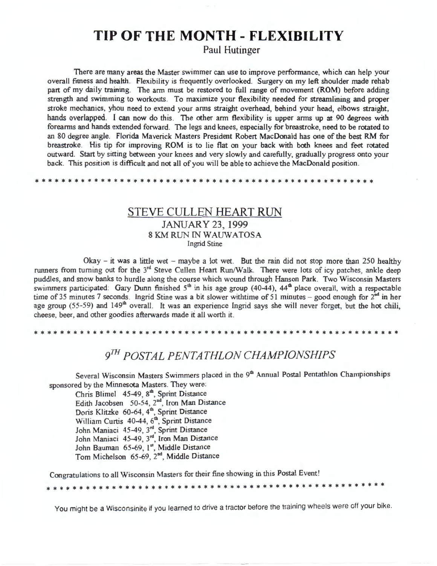# **TIP OF THE MONTH - FLEXIBILITY**

Paul Hutinger

There are many areas the Master swimmer can use to improve performance, which can help your overall fitness and health. Flexibility is frequently overlooked. Surgery on my left shoulder made rehab part of my daily training. The arm must be restored to full range of movement **(ROM)** before adding strength and swimming to workouts. To maximize your flexibility needed for streamlining and proper stroke mechanics, yhou need to extend your arms straight overhead, behind your head, elbows straight, hands overlapped. I can now do this. The other arm flexibility is upper arms up at *90* degrees with forearms and hands extended forward. The legs and knees, especially for breastroke, need to be rotated to an 80 degree angle. Florida Maverick Masters President Robert MacDonald has one of the best RM for breastroke. His tip for improving **ROM** is to lie flat on your back with both knees and feet rotated outward. Start by sitting between your knees and very slowly and carefully, gradually progress onto your back. This position is difficult and not all of you will be able to achieve the MacDonald position.

\* \* \* \* \* \* \* \* \* \* \* \* \* \* \* \* \* \* \* \* \* \* \* \* \* \* \* \* \* \* \* \* \* \* \* \* \* \* \* \* \* \* \* \* \* \* \* \* \* \* \* \*

## STEVE CULLEN HEART RUN JANUARY 23, 1999 8 KM RUN IN WAUWATOSA Ingrid Stine

 $O$ kay – it was a little wet – maybe a lot wet. But the rain did not stop more than 250 healthy runners from turning out for the 3<sup>rd</sup> Steve Cullen Heart Run/Walk. There were lots of icy patches, ankle deep puddles, and snow banks to hurdle along the course which wound through Hanson Park. Two Wisconsin Masters swimmers participated: Gary Dunn finished  $5<sup>th</sup>$  in his age group (40-44), 44<sup>th</sup> place overall, with a respectable time of 35 minutes 7 seconds. Ingrid Stine was a bit slower withtime of 51 minutes – good enough for  $2<sup>nd</sup>$  in her age group (55-59) and 149<sup>th</sup> overall. It was an experience Ingrid says she will never forget, but the hot chili, cheese, beer, and other goodies afterwards made it all worth it.

\* \* \* \* \* \* \* \* \* \* \* \* \* \* \* \* \* \* \* \* \* \* \* \* \* \* \* \* \* \* \* \* \* \* \* \* \* \* \* \* \* \* \* \* \* \* \* \* \* \* \* \* \* \* \* \*

# *9m POSTAL PENTATHLON CHAMPIONSHIPS*

Several Wisconsin Masters Swimmers placed in the 9<sup>th</sup> Annual Postal Pentathlon Championships sponsored by the Minnesota Masters. They were:

Chris Blimel  $45-49$ ,  $8<sup>th</sup>$ , Sprint Distance Edith Jacobsen 50-54,  $2<sup>nd</sup>$ , Iron Man Distance Doris Klitzke 60-64, 4<sup>th</sup>, Sprint Distance William Curtis 40-44, 6<sup>th</sup>, Sprint Distance John Maniaci 45-49, 3<sup>rd</sup>, Sprint Distance John Maniaci 45-49, 3<sup>rd</sup>, Iron Man Distance John Bauman 65-69, 1st, Middle Distance Tom Michelson 65-69, 2<sup>nd</sup>, Middle Distance

Congratulations to all Wisconsin Masters for their fine showing in this Postal Event!

\* \* \* \* \* \* \* \* \* \* \* \* \* \* \* \* \* \* \* \* \* \* \* \* \* \* \* \* \* \* \* \* \* \* \* \* \* \* \* \* \* \* \* \* \* \* \* \* \* \* \* \*

You might be a Wisconsinite if you learned to drive a tractor before the training wheels were off your bike.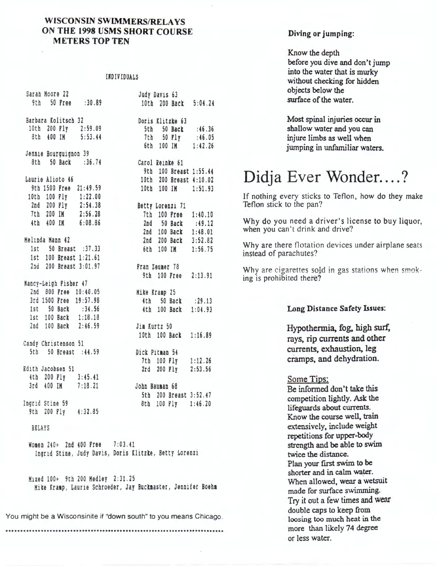#### **WISCONSlN SWIMMERS/RELAYS ON THE 1998 USMS SHORT COURSE METERS TOP TEN**

#### **IRD** IV !DUALS

| Sarah Moore 22       |                        | eran Noore 22<br>9th 50 Pree :30.89          |                                                              | Judy Davis 63                                                                            |         |
|----------------------|------------------------|----------------------------------------------|--------------------------------------------------------------|------------------------------------------------------------------------------------------|---------|
|                      |                        |                                              |                                                              | 10th 200 Back 5:04.24                                                                    |         |
|                      |                        | Barbara Kolitsch 32                          |                                                              | Doris Klitzke 63                                                                         |         |
|                      |                        |                                              |                                                              | 5th 50 Back :46.36<br>7th 50 Ply :46.05<br>6th 100 IM 1:42.26                            |         |
|                      |                        | 10th 200 Fly 2:59.09<br>8th 400 IM 5:53.44   |                                                              |                                                                                          |         |
|                      |                        |                                              |                                                              |                                                                                          |         |
|                      |                        |                                              |                                                              |                                                                                          |         |
|                      |                        | Jennie Bourguignon 39                        |                                                              |                                                                                          |         |
|                      |                        | 8th 50 Back : 36.74                          |                                                              | Carol Reinke 61                                                                          |         |
|                      |                        |                                              |                                                              | 9th 100 Breast 1:55.44                                                                   |         |
|                      | Laurie Alioto 46       |                                              |                                                              | 10th 200 Breast 4:10.02                                                                  |         |
|                      |                        | 9th 1500 Free 21:49.59                       |                                                              | 10th 100 IM 1:51.93                                                                      |         |
|                      |                        | 10th 100 Fly 1:22.00                         |                                                              |                                                                                          |         |
|                      |                        | 2nd 200 Fly 2:54.38<br>7th 200 IM 2:56.28    |                                                              | Betty Lorenzi 71                                                                         |         |
|                      |                        |                                              |                                                              | 7th 100 Free 1:40.10                                                                     |         |
|                      |                        | 4th 400 IM 6:08.86                           |                                                              |                                                                                          |         |
|                      |                        |                                              |                                                              |                                                                                          |         |
|                      |                        |                                              |                                                              |                                                                                          |         |
| Melinda Mann 42      |                        |                                              |                                                              | 2nd 50 Back :49.12<br>2nd 100 Back 1:48.01<br>2nd 200 Back 3:52.82<br>6th 100 IM 1:56.75 |         |
|                      |                        | 1st 50 Breast : 37.33                        |                                                              |                                                                                          |         |
|                      |                        | 1st 100 Breast 1:21.61                       |                                                              |                                                                                          |         |
|                      | 2nd 200 Breast 3:01.97 |                                              |                                                              | Fran Zeumer 78                                                                           |         |
|                      |                        |                                              |                                                              | 9th 100 Free                                                                             | 2:13.91 |
|                      |                        |                                              |                                                              |                                                                                          |         |
|                      |                        | Nancy-Leigh Fisher 47                        |                                                              |                                                                                          |         |
|                      |                        | 2nd 800 Free 10:40.05                        |                                                              | Mike Kramp 25                                                                            |         |
|                      |                        | 3rd 1500 Free 19:57.98<br>1st 50 Back :34.56 |                                                              | 4th 50 Back : 29.13                                                                      |         |
|                      |                        | 1st 50 Back : 34.56                          |                                                              | 4th 100 Back 1:04.93                                                                     |         |
|                      |                        | 1st 100 Back 1:18.18                         |                                                              |                                                                                          |         |
|                      |                        | 2nd 100 Back 2:46.59                         |                                                              | Jim Kurtz 50                                                                             |         |
|                      |                        |                                              |                                                              | 10th 100 Back 1:16.89                                                                    |         |
| Candy Christenson 51 |                        |                                              |                                                              |                                                                                          |         |
|                      |                        | 5th 50 Breast : 44.59                        |                                                              | Dick Pitman 54                                                                           |         |
|                      |                        |                                              |                                                              | 7th 100 Fly 1:12.26                                                                      |         |
|                      |                        |                                              |                                                              | 2rd 200 Fly 2:53.56                                                                      |         |
| Edith Jacobsen 51    |                        |                                              |                                                              |                                                                                          |         |
| 4th 200 Fly 3:45.41  |                        |                                              |                                                              |                                                                                          |         |
|                      | 3rd 400 IM 7:18.21     |                                              |                                                              | John Bauman 68                                                                           |         |
|                      |                        |                                              |                                                              | 5th 200 Breast 3:52.47                                                                   |         |
| Ingrid Stine 59      |                        |                                              |                                                              | 8th 100 Fly                                                                              | 1:46.20 |
|                      | 9th 200 Fly 4:32.85    |                                              |                                                              |                                                                                          |         |
|                      |                        |                                              |                                                              |                                                                                          |         |
| <b>RELAYS</b>        |                        |                                              |                                                              |                                                                                          |         |
|                      |                        |                                              |                                                              |                                                                                          |         |
|                      |                        | Women 240+ 2nd 400 Free 7:03.41              |                                                              |                                                                                          |         |
|                      |                        |                                              |                                                              |                                                                                          |         |
|                      |                        |                                              | Ingrid Stine, Judy Davis, Doris Klitzke, Betty Lorenzi       |                                                                                          |         |
|                      |                        |                                              |                                                              |                                                                                          |         |
|                      |                        |                                              |                                                              |                                                                                          |         |
|                      |                        | Mixed 100+ 9th 200 Medley 2:31.25            |                                                              |                                                                                          |         |
|                      |                        |                                              | Mike Kramp, Laurie Schroeder, Jay Buckmaster, Jennifer Boehm |                                                                                          |         |
|                      |                        |                                              |                                                              |                                                                                          |         |
|                      |                        |                                              |                                                              |                                                                                          |         |

You might be a Wisconsinite if "down south" to you means Chicago.

...........................................................................

#### **Diving or jumping:**

Know the depth before you dive and don't jump into the water that is murky without checking for hidden objects below the surface of the water.

Most spinal injuries occur in shallow water and you can injure limbs as well when jumping in unfamiliar waters.

# Didja Ever Wonder....?

If nothing every sticks to Teflon, how do they make Teflon stick to the pan?

Why do you need a driver's license to buy liquor, when you can't drink and drive?

Why are there flotation devices under airplane seats instead of parachutes?

Why are cigarettes sold in gas stations when smoking is prohibited there?

#### **Long Distance Safety Issues:**

Hypothermia, fog, high surf, rays, rip currents and other currents, exhaustion, leg cramps, and dehydration.

#### Some Tips:

Be infonned don't take this competition lightly. Ask the lifeguards about currents. Know the course well, train extensively, include weight repetitions for upper-body strength and be able to swim twice the distance. Plan your first swim to be shorter and in calm water. When allowed, wear a wetsuit made for surface swimming. Try it out a few times and wear double caps to keep from loosing too much heat in the more than likely 74 degree or less water.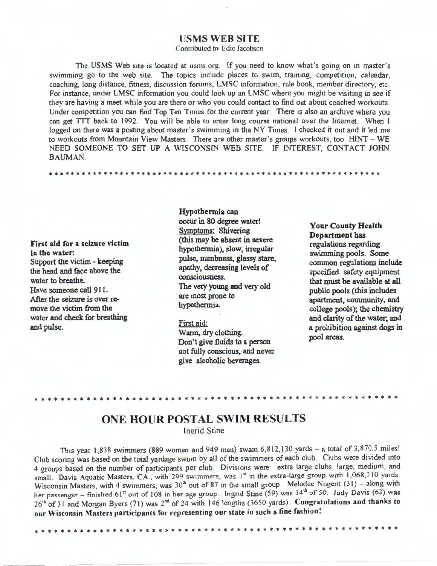#### **USMS WEB SITE**

Contributed by Edie Jacobsen

The USMS Web site is located at usms.org. If you need to know what's going on in master's swimming go to the web site. The topics include places to swim, training, competition, calendar, coaching, long distance, fitness, discussion forums, LMSC information, rule book, member directory, etc. For instance, under LMSC information you could look up an LMSC where you might be visiting to see if they are having a meet while you are there or who you could contact to find out about coached workouts. Under competition you can find Top Ten Times for the current year. There is also an archive where you can get TIT back to 1992. You will be able to enter long course national over the Internet. When I logged on there was a posting about master's swimming in the NY Times. I checked it out and it led me to workouts from Mountain View Masters. There are other master's groups workouts, too. HINT - WE NEED SOMEONE TO SET UP A WISCONSIN WEB SITE. IF INTEREST, CONTACT JOHN BAUMAN.

\* \* \* \* \* \* \* \* \* \* \* \* \* \* \* \* \* \* \* \* \* \* \* \* \* \* \* \* \* \* \* \* \* \* \* \* \* \* \* \* \* \* \* \* \* \* \* \* \* \* \* \* \* \* \* \* \* \* \* \* \*

**First aid for a seizure victim**  in **the water.**  Support the victim - keeping the head and face above the water to breathe. Have someone call 911. After the seizure is over remove the victim from the water and check for breathing and pulse.

**Hypothermia** can occur in 80 degree water! Symptoms: Shivering (this may be absent in severe hypothermia), slow, irregular pulse, nwnbness, glassy stare, apathy, decreasing levels of consciousness. The very young and very old are most prone to hypothermia.

#### First aid:

Warm, *dry* clothing. Don't give fluids to a person not fully conscious, and never give alcoholic beverages.

**Your County Health Department** has regulations regarding swimming pools. Some common regulations include specified safety equipment that must be available at all public pools (this includes apartment, community, and college pools); the chemistry and clarity of the water; and a prohibition against dogs in **pool areas.** 

## **ONE HOUR POSTAL SWIM RESULTS**

Ingrid Stine

This year 1,838 swimmers (889 women and 949 men) swam 6,812,130 yards - a total of 3,870.5 miles! Club scoring was based on the total yardage swum by all of the swimmers of each club . Clubs were divided into 4 groups based on the number of participants per club. Divisions were: extra large clubs, large, medium, and small. Davis Aquatic Masters, CA., with 299 swimmers, was  $1<sup>st</sup>$  in the extra-large group with 1,068,210 yards. Wisconsin Masters, with 4 swimmers, was  $30<sup>th</sup>$  out of 87 in the small group. Melodee Nugent  $(31)$  – along with her passenger - finished 61<sup>st</sup> out of 108 in her age group. Ingrid Stine (59) was 14<sup>th</sup> of 50. Judy Davis (63) was 26<sup>th</sup> of 31 and Morgan Byers (71) was 2<sup>nd</sup> of 24 with 146 lengths (3650 yards). Congratulations and thanks to our Wisconsin Masters participants for representing our state in such a fine fashion!

\* \* \* \* \* \* \* \* \* \* \* \* \* \* \* \* \* \* \* \* \* \* \* \* \* \* \* \* \* \* \* \* \* \* \* \* \* \* \* \* \* \* \* \* \* \* \* \* \* \* \* \* \* \* \* \*

\* \* \* \* \* \* \* \* \* \* \* \* \* \* \* \* \* \* \* \* \* \* \* \* \* \* \* \* \* \* \* \* \* \* \* \* \* \* \* \* \* \* \* \* \* \* \* \* \* \* \* \* \* \* \* \*